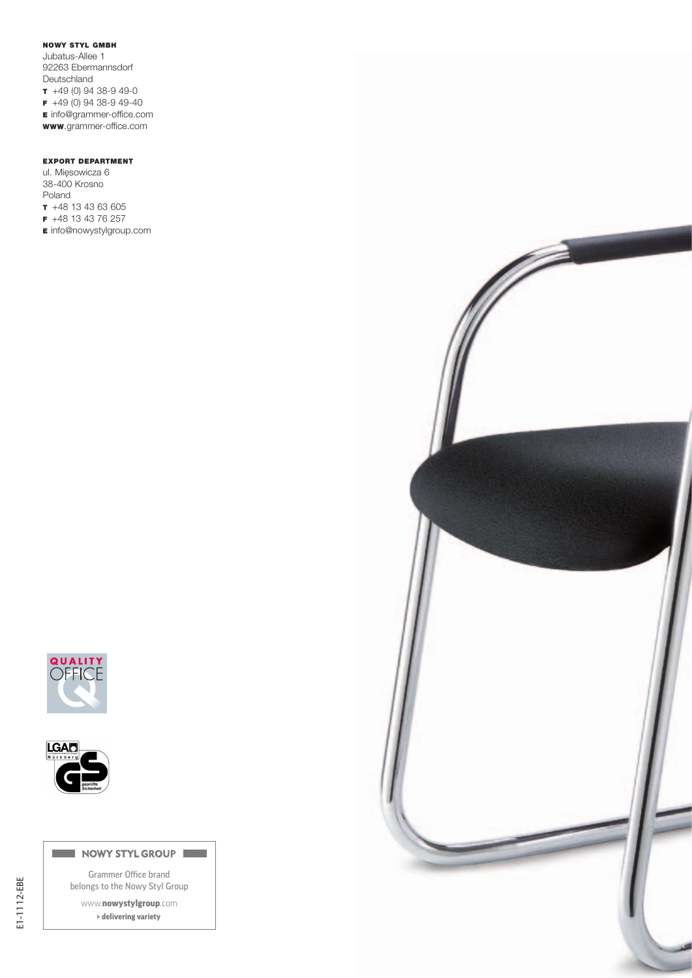### NOWY STYL GMBH

Jubatus-Allee 1 92263 Ebermannsdorf Deutschland  $+49(0)$  94 38-9 49-0 F +49 (0) 94 38-9 49-40 E info@grammer-office.com www.grammer-office.com

# EXPORT DEPARTMENT

ul. Mięsowicza 6 38-400 Krosno Poland T +48 13 43 63 605 F +48 13 43 76 257 **E** info@nowystylgroup.com





#### NOWY STYL GROUP

Grammer Office brand belongs to the Nowy Styl Group

www.nowystylgroup.com > delivering variety

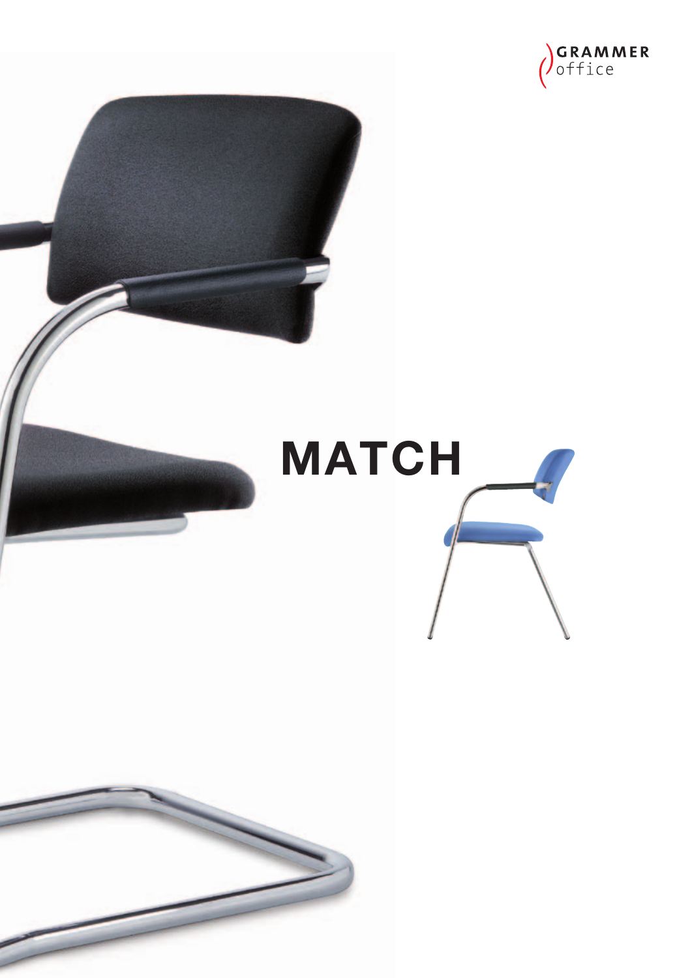



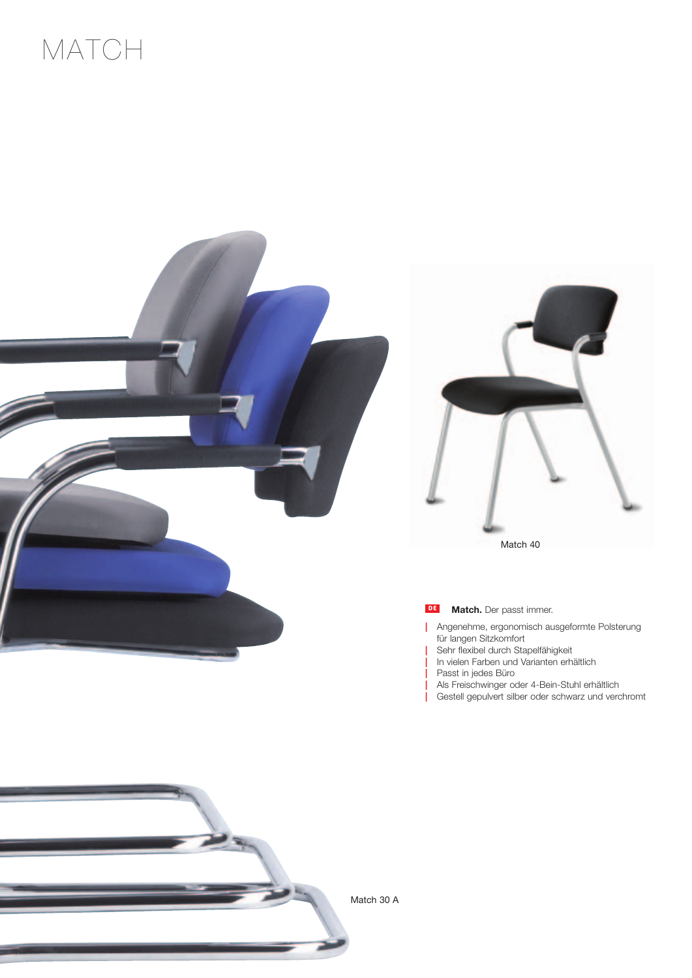# MATCH







| Angenehme, ergonomisch ausgeformte Polsterung für langen Sitzkomfort

- | Sehr flexibel durch Stapelfähigkeit
- In vielen Farben und Varianten erhältlich
- Passt in jedes Büro
- | Als Freischwinger oder 4-Bein-Stuhl erhältlich
- | Gestell gepulvert silber oder schwarz und verchromt



Match 30 A